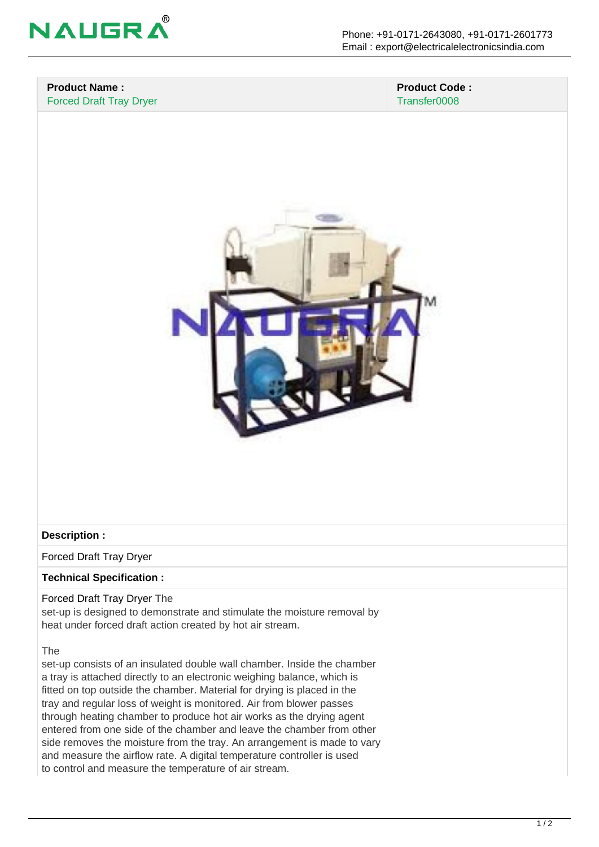

#### **Product Name :** Forced Draft Tray Dryer

 **Product Code :** Transfer0008



### **Description :**

Forced Draft Tray Dryer

### **Technical Specification :**

Forced Draft Tray Dryer The set-up is designed to demonstrate and stimulate the moisture removal by heat under forced draft action created by hot air stream.

The

set-up consists of an insulated double wall chamber. Inside the chamber a tray is attached directly to an electronic weighing balance, which is fitted on top outside the chamber. Material for drying is placed in the tray and regular loss of weight is monitored. Air from blower passes through heating chamber to produce hot air works as the drying agent entered from one side of the chamber and leave the chamber from other side removes the moisture from the tray. An arrangement is made to vary and measure the airflow rate. A digital temperature controller is used to control and measure the temperature of air stream.